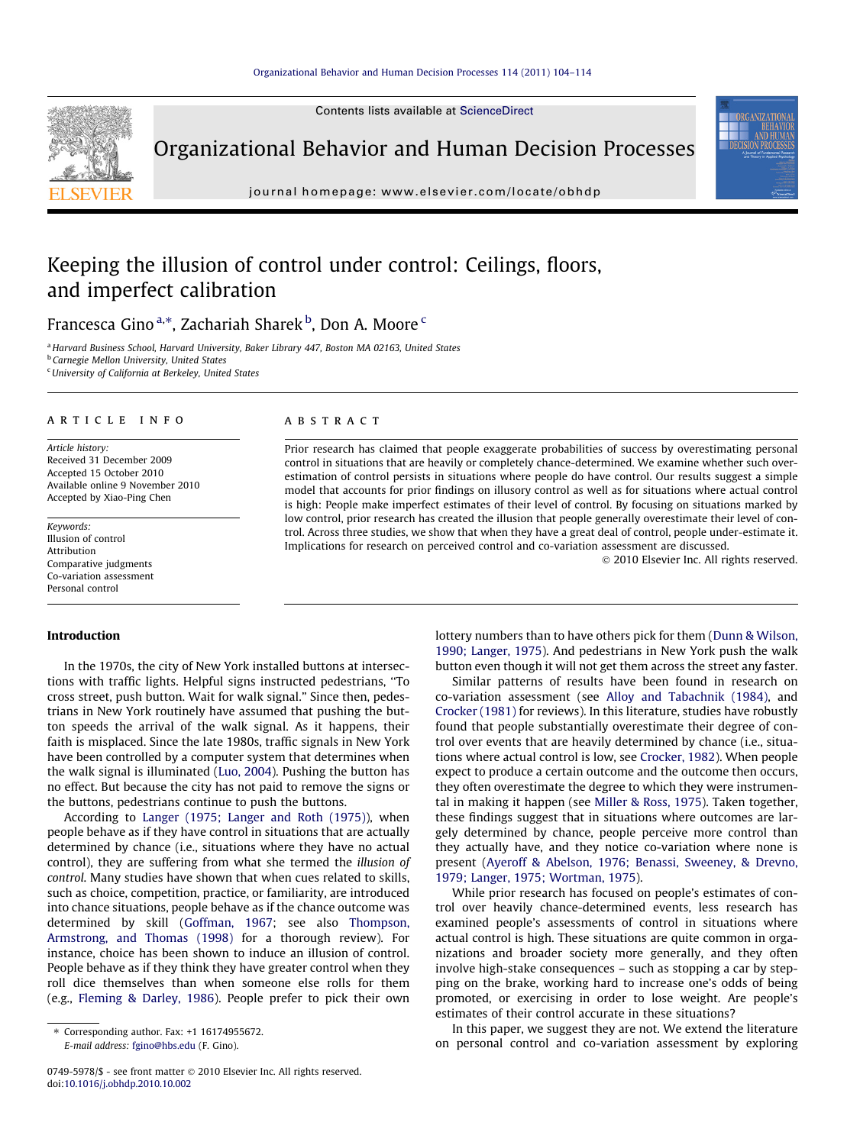Contents lists available at [ScienceDirect](http://www.sciencedirect.com/science/journal/07495978)



Organizational Behavior and Human Decision Processes

journal homepage: [www.elsevier.com/locate/obhdp](http://www.elsevier.com/locate/obhdp)

# Keeping the illusion of control under control: Ceilings, floors, and imperfect calibration

Francesca Gino <sup>a,</sup>\*, Zachariah Sharek <sup>b</sup>, Don A. Moore <sup>c</sup>

<sup>a</sup> Harvard Business School, Harvard University, Baker Library 447, Boston MA 02163, United States **b** Carnegie Mellon University, United States

<sup>c</sup>University of California at Berkeley, United States

## article info

Article history: Received 31 December 2009 Accepted 15 October 2010 Available online 9 November 2010 Accepted by Xiao-Ping Chen

Keywords: Illusion of control Attribution Comparative judgments Co-variation assessment Personal control

#### Introduction

In the 1970s, the city of New York installed buttons at intersections with traffic lights. Helpful signs instructed pedestrians, ''To cross street, push button. Wait for walk signal." Since then, pedestrians in New York routinely have assumed that pushing the button speeds the arrival of the walk signal. As it happens, their faith is misplaced. Since the late 1980s, traffic signals in New York have been controlled by a computer system that determines when the walk signal is illuminated [\(Luo, 2004](#page-10-0)). Pushing the button has no effect. But because the city has not paid to remove the signs or the buttons, pedestrians continue to push the buttons.

According to [Langer \(1975; Langer and Roth \(1975\)](#page-10-0)), when people behave as if they have control in situations that are actually determined by chance (i.e., situations where they have no actual control), they are suffering from what she termed the illusion of control. Many studies have shown that when cues related to skills, such as choice, competition, practice, or familiarity, are introduced into chance situations, people behave as if the chance outcome was determined by skill ([Goffman, 1967;](#page-10-0) see also [Thompson,](#page-10-0) [Armstrong, and Thomas \(1998\)](#page-10-0) for a thorough review). For instance, choice has been shown to induce an illusion of control. People behave as if they think they have greater control when they roll dice themselves than when someone else rolls for them (e.g., [Fleming & Darley, 1986](#page-10-0)). People prefer to pick their own

## **ABSTRACT**

Prior research has claimed that people exaggerate probabilities of success by overestimating personal control in situations that are heavily or completely chance-determined. We examine whether such overestimation of control persists in situations where people do have control. Our results suggest a simple model that accounts for prior findings on illusory control as well as for situations where actual control is high: People make imperfect estimates of their level of control. By focusing on situations marked by low control, prior research has created the illusion that people generally overestimate their level of control. Across three studies, we show that when they have a great deal of control, people under-estimate it. Implications for research on perceived control and co-variation assessment are discussed.

- 2010 Elsevier Inc. All rights reserved.

lottery numbers than to have others pick for them ([Dunn & Wilson,](#page-10-0) [1990; Langer, 1975](#page-10-0)). And pedestrians in New York push the walk button even though it will not get them across the street any faster.

Similar patterns of results have been found in research on co-variation assessment (see [Alloy and Tabachnik \(1984\),](#page-9-0) and [Crocker \(1981\)](#page-10-0) for reviews). In this literature, studies have robustly found that people substantially overestimate their degree of control over events that are heavily determined by chance (i.e., situations where actual control is low, see [Crocker, 1982](#page-10-0)). When people expect to produce a certain outcome and the outcome then occurs, they often overestimate the degree to which they were instrumental in making it happen (see [Miller & Ross, 1975](#page-10-0)). Taken together, these findings suggest that in situations where outcomes are largely determined by chance, people perceive more control than they actually have, and they notice co-variation where none is present [\(Ayeroff & Abelson, 1976; Benassi, Sweeney, & Drevno,](#page-9-0) [1979; Langer, 1975; Wortman, 1975\)](#page-9-0).

While prior research has focused on people's estimates of control over heavily chance-determined events, less research has examined people's assessments of control in situations where actual control is high. These situations are quite common in organizations and broader society more generally, and they often involve high-stake consequences – such as stopping a car by stepping on the brake, working hard to increase one's odds of being promoted, or exercising in order to lose weight. Are people's estimates of their control accurate in these situations?

In this paper, we suggest they are not. We extend the literature on personal control and co-variation assessment by exploring

<sup>⇑</sup> Corresponding author. Fax: +1 16174955672. E-mail address: [fgino@hbs.edu](mailto:fgino@hbs.edu) (F. Gino).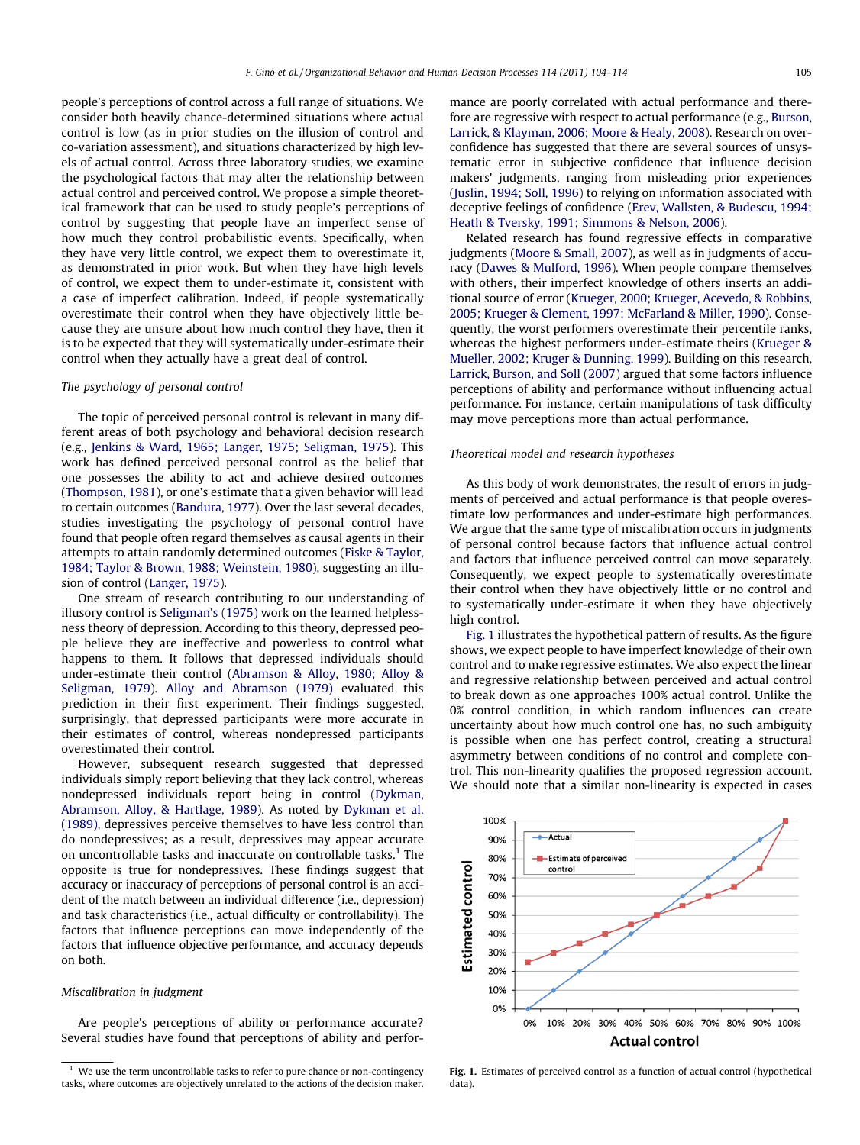<span id="page-1-0"></span>people's perceptions of control across a full range of situations. We consider both heavily chance-determined situations where actual control is low (as in prior studies on the illusion of control and co-variation assessment), and situations characterized by high levels of actual control. Across three laboratory studies, we examine the psychological factors that may alter the relationship between actual control and perceived control. We propose a simple theoretical framework that can be used to study people's perceptions of control by suggesting that people have an imperfect sense of how much they control probabilistic events. Specifically, when they have very little control, we expect them to overestimate it, as demonstrated in prior work. But when they have high levels of control, we expect them to under-estimate it, consistent with a case of imperfect calibration. Indeed, if people systematically overestimate their control when they have objectively little because they are unsure about how much control they have, then it is to be expected that they will systematically under-estimate their control when they actually have a great deal of control.

# The psychology of personal control

The topic of perceived personal control is relevant in many different areas of both psychology and behavioral decision research (e.g., [Jenkins & Ward, 1965; Langer, 1975; Seligman, 1975\)](#page-10-0). This work has defined perceived personal control as the belief that one possesses the ability to act and achieve desired outcomes ([Thompson, 1981](#page-10-0)), or one's estimate that a given behavior will lead to certain outcomes [\(Bandura, 1977](#page-9-0)). Over the last several decades, studies investigating the psychology of personal control have found that people often regard themselves as causal agents in their attempts to attain randomly determined outcomes ([Fiske & Taylor,](#page-10-0) [1984; Taylor & Brown, 1988; Weinstein, 1980](#page-10-0)), suggesting an illusion of control [\(Langer, 1975](#page-10-0)).

One stream of research contributing to our understanding of illusory control is [Seligman's \(1975\)](#page-10-0) work on the learned helplessness theory of depression. According to this theory, depressed people believe they are ineffective and powerless to control what happens to them. It follows that depressed individuals should under-estimate their control ([Abramson & Alloy, 1980; Alloy &](#page-9-0) [Seligman, 1979](#page-9-0)). [Alloy and Abramson \(1979\)](#page-9-0) evaluated this prediction in their first experiment. Their findings suggested, surprisingly, that depressed participants were more accurate in their estimates of control, whereas nondepressed participants overestimated their control.

However, subsequent research suggested that depressed individuals simply report believing that they lack control, whereas nondepressed individuals report being in control [\(Dykman,](#page-10-0) [Abramson, Alloy, & Hartlage, 1989](#page-10-0)). As noted by [Dykman et al.](#page-10-0) [\(1989\),](#page-10-0) depressives perceive themselves to have less control than do nondepressives; as a result, depressives may appear accurate on uncontrollable tasks and inaccurate on controllable tasks.<sup>1</sup> The opposite is true for nondepressives. These findings suggest that accuracy or inaccuracy of perceptions of personal control is an accident of the match between an individual difference (i.e., depression) and task characteristics (i.e., actual difficulty or controllability). The factors that influence perceptions can move independently of the factors that influence objective performance, and accuracy depends on both.

## Miscalibration in judgment

Are people's perceptions of ability or performance accurate? Several studies have found that perceptions of ability and performance are poorly correlated with actual performance and therefore are regressive with respect to actual performance (e.g., [Burson,](#page-10-0) [Larrick, & Klayman, 2006; Moore & Healy, 2008\)](#page-10-0). Research on overconfidence has suggested that there are several sources of unsystematic error in subjective confidence that influence decision makers' judgments, ranging from misleading prior experiences ([Juslin, 1994; Soll, 1996\)](#page-10-0) to relying on information associated with deceptive feelings of confidence ([Erev, Wallsten, & Budescu, 1994;](#page-10-0) [Heath & Tversky, 1991; Simmons & Nelson, 2006\)](#page-10-0).

Related research has found regressive effects in comparative judgments ([Moore & Small, 2007](#page-10-0)), as well as in judgments of accuracy [\(Dawes & Mulford, 1996\)](#page-10-0). When people compare themselves with others, their imperfect knowledge of others inserts an additional source of error ([Krueger, 2000; Krueger, Acevedo, & Robbins,](#page-10-0) [2005; Krueger & Clement, 1997; McFarland & Miller, 1990\)](#page-10-0). Consequently, the worst performers overestimate their percentile ranks, whereas the highest performers under-estimate theirs [\(Krueger &](#page-10-0) [Mueller, 2002; Kruger & Dunning, 1999](#page-10-0)). Building on this research, [Larrick, Burson, and Soll \(2007\)](#page-10-0) argued that some factors influence perceptions of ability and performance without influencing actual performance. For instance, certain manipulations of task difficulty may move perceptions more than actual performance.

# Theoretical model and research hypotheses

As this body of work demonstrates, the result of errors in judgments of perceived and actual performance is that people overestimate low performances and under-estimate high performances. We argue that the same type of miscalibration occurs in judgments of personal control because factors that influence actual control and factors that influence perceived control can move separately. Consequently, we expect people to systematically overestimate their control when they have objectively little or no control and to systematically under-estimate it when they have objectively high control.

Fig. 1 illustrates the hypothetical pattern of results. As the figure shows, we expect people to have imperfect knowledge of their own control and to make regressive estimates. We also expect the linear and regressive relationship between perceived and actual control to break down as one approaches 100% actual control. Unlike the 0% control condition, in which random influences can create uncertainty about how much control one has, no such ambiguity is possible when one has perfect control, creating a structural asymmetry between conditions of no control and complete control. This non-linearity qualifies the proposed regression account. We should note that a similar non-linearity is expected in cases



Fig. 1. Estimates of perceived control as a function of actual control (hypothetical data).

We use the term uncontrollable tasks to refer to pure chance or non-contingency tasks, where outcomes are objectively unrelated to the actions of the decision maker.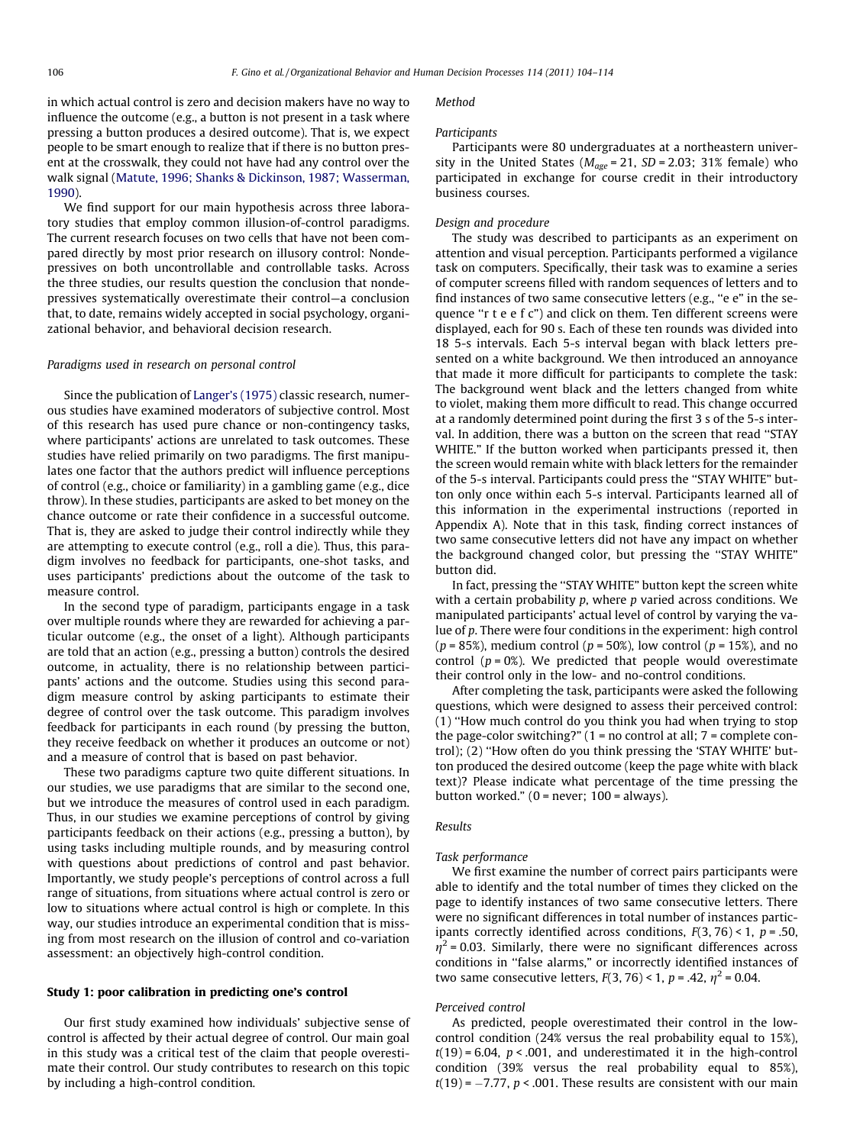in which actual control is zero and decision makers have no way to influence the outcome (e.g., a button is not present in a task where pressing a button produces a desired outcome). That is, we expect people to be smart enough to realize that if there is no button present at the crosswalk, they could not have had any control over the walk signal [\(Matute, 1996; Shanks & Dickinson, 1987; Wasserman,](#page-10-0) [1990\)](#page-10-0).

We find support for our main hypothesis across three laboratory studies that employ common illusion-of-control paradigms. The current research focuses on two cells that have not been compared directly by most prior research on illusory control: Nondepressives on both uncontrollable and controllable tasks. Across the three studies, our results question the conclusion that nondepressives systematically overestimate their control—a conclusion that, to date, remains widely accepted in social psychology, organizational behavior, and behavioral decision research.

## Paradigms used in research on personal control

Since the publication of [Langer's \(1975\)](#page-10-0) classic research, numerous studies have examined moderators of subjective control. Most of this research has used pure chance or non-contingency tasks, where participants' actions are unrelated to task outcomes. These studies have relied primarily on two paradigms. The first manipulates one factor that the authors predict will influence perceptions of control (e.g., choice or familiarity) in a gambling game (e.g., dice throw). In these studies, participants are asked to bet money on the chance outcome or rate their confidence in a successful outcome. That is, they are asked to judge their control indirectly while they are attempting to execute control (e.g., roll a die). Thus, this paradigm involves no feedback for participants, one-shot tasks, and uses participants' predictions about the outcome of the task to measure control.

In the second type of paradigm, participants engage in a task over multiple rounds where they are rewarded for achieving a particular outcome (e.g., the onset of a light). Although participants are told that an action (e.g., pressing a button) controls the desired outcome, in actuality, there is no relationship between participants' actions and the outcome. Studies using this second paradigm measure control by asking participants to estimate their degree of control over the task outcome. This paradigm involves feedback for participants in each round (by pressing the button, they receive feedback on whether it produces an outcome or not) and a measure of control that is based on past behavior.

These two paradigms capture two quite different situations. In our studies, we use paradigms that are similar to the second one, but we introduce the measures of control used in each paradigm. Thus, in our studies we examine perceptions of control by giving participants feedback on their actions (e.g., pressing a button), by using tasks including multiple rounds, and by measuring control with questions about predictions of control and past behavior. Importantly, we study people's perceptions of control across a full range of situations, from situations where actual control is zero or low to situations where actual control is high or complete. In this way, our studies introduce an experimental condition that is missing from most research on the illusion of control and co-variation assessment: an objectively high-control condition.

# Study 1: poor calibration in predicting one's control

Our first study examined how individuals' subjective sense of control is affected by their actual degree of control. Our main goal in this study was a critical test of the claim that people overestimate their control. Our study contributes to research on this topic by including a high-control condition.

# Method

#### **Participants**

Participants were 80 undergraduates at a northeastern university in the United States ( $M_{age} = 21$ , SD = 2.03; 31% female) who participated in exchange for course credit in their introductory business courses.

#### Design and procedure

The study was described to participants as an experiment on attention and visual perception. Participants performed a vigilance task on computers. Specifically, their task was to examine a series of computer screens filled with random sequences of letters and to find instances of two same consecutive letters (e.g., ''e e" in the sequence ''r t e e f c") and click on them. Ten different screens were displayed, each for 90 s. Each of these ten rounds was divided into 18 5-s intervals. Each 5-s interval began with black letters presented on a white background. We then introduced an annoyance that made it more difficult for participants to complete the task: The background went black and the letters changed from white to violet, making them more difficult to read. This change occurred at a randomly determined point during the first 3 s of the 5-s interval. In addition, there was a button on the screen that read ''STAY WHITE." If the button worked when participants pressed it, then the screen would remain white with black letters for the remainder of the 5-s interval. Participants could press the ''STAY WHITE" button only once within each 5-s interval. Participants learned all of this information in the experimental instructions (reported in Appendix A). Note that in this task, finding correct instances of two same consecutive letters did not have any impact on whether the background changed color, but pressing the ''STAY WHITE" button did.

In fact, pressing the ''STAY WHITE" button kept the screen white with a certain probability  $p$ , where  $p$  varied across conditions. We manipulated participants' actual level of control by varying the value of p. There were four conditions in the experiment: high control  $(p = 85\%)$ , medium control  $(p = 50\%)$ , low control  $(p = 15\%)$ , and no control ( $p = 0\%$ ). We predicted that people would overestimate their control only in the low- and no-control conditions.

After completing the task, participants were asked the following questions, which were designed to assess their perceived control: (1) ''How much control do you think you had when trying to stop the page-color switching?"  $(1 = no control at all; 7 = complete con$ trol); (2) ''How often do you think pressing the 'STAY WHITE' button produced the desired outcome (keep the page white with black text)? Please indicate what percentage of the time pressing the button worked."  $(0 = never; 100 = always)$ .

## Results

#### Task performance

We first examine the number of correct pairs participants were able to identify and the total number of times they clicked on the page to identify instances of two same consecutive letters. There were no significant differences in total number of instances participants correctly identified across conditions,  $F(3, 76) < 1$ ,  $p = .50$ ,  $\eta^2$  = 0.03. Similarly, there were no significant differences across conditions in ''false alarms," or incorrectly identified instances of two same consecutive letters,  $F(3, 76) < 1$ ,  $p = .42$ ,  $\eta^2 = 0.04$ .

#### Perceived control

As predicted, people overestimated their control in the lowcontrol condition (24% versus the real probability equal to 15%),  $t(19) = 6.04$ ,  $p < .001$ , and underestimated it in the high-control condition (39% versus the real probability equal to 85%),  $t(19)$  =  $-7.77$ ,  $p < .001$ . These results are consistent with our main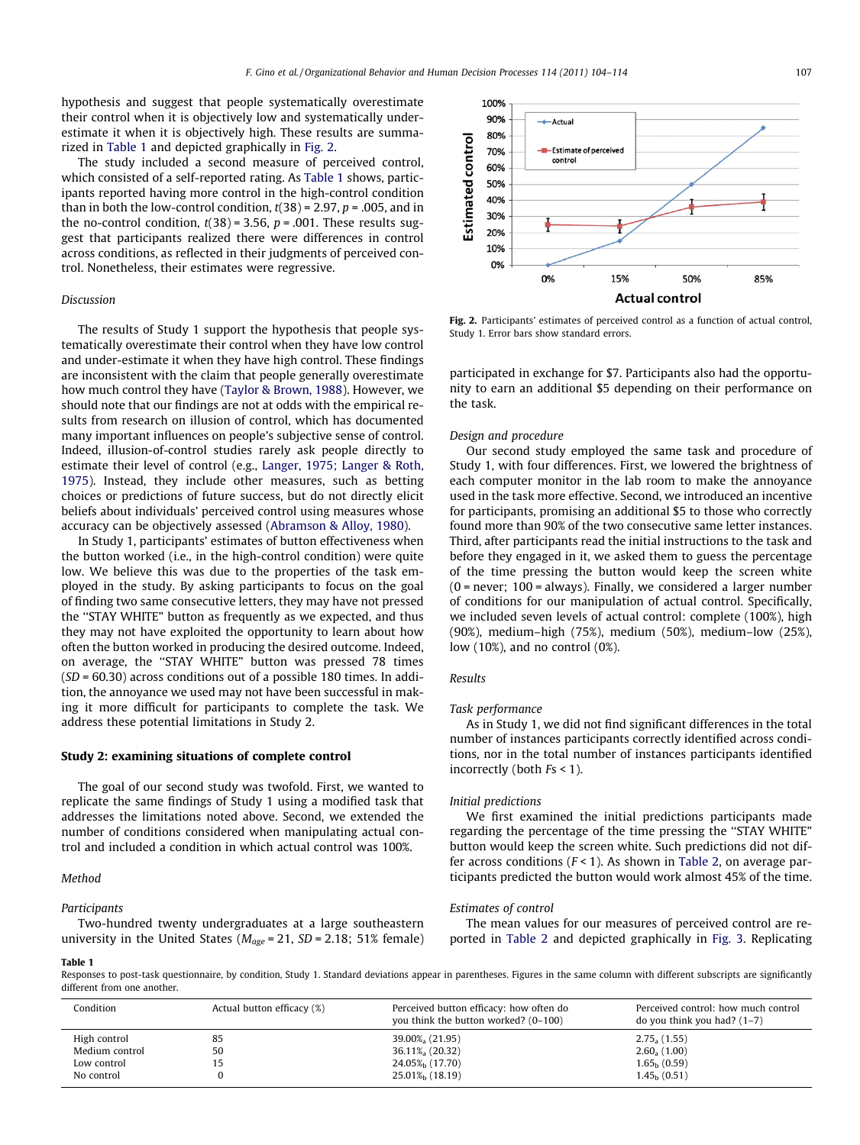hypothesis and suggest that people systematically overestimate their control when it is objectively low and systematically underestimate it when it is objectively high. These results are summarized in Table 1 and depicted graphically in Fig. 2.

The study included a second measure of perceived control, which consisted of a self-reported rating. As Table 1 shows, participants reported having more control in the high-control condition than in both the low-control condition,  $t(38) = 2.97$ ,  $p = .005$ , and in the no-control condition,  $t(38) = 3.56$ ,  $p = .001$ . These results suggest that participants realized there were differences in control across conditions, as reflected in their judgments of perceived control. Nonetheless, their estimates were regressive.

#### Discussion

The results of Study 1 support the hypothesis that people systematically overestimate their control when they have low control and under-estimate it when they have high control. These findings are inconsistent with the claim that people generally overestimate how much control they have ([Taylor & Brown, 1988](#page-10-0)). However, we should note that our findings are not at odds with the empirical results from research on illusion of control, which has documented many important influences on people's subjective sense of control. Indeed, illusion-of-control studies rarely ask people directly to estimate their level of control (e.g., [Langer, 1975; Langer & Roth,](#page-10-0) [1975\)](#page-10-0). Instead, they include other measures, such as betting choices or predictions of future success, but do not directly elicit beliefs about individuals' perceived control using measures whose accuracy can be objectively assessed [\(Abramson & Alloy, 1980\)](#page-9-0).

In Study 1, participants' estimates of button effectiveness when the button worked (i.e., in the high-control condition) were quite low. We believe this was due to the properties of the task employed in the study. By asking participants to focus on the goal of finding two same consecutive letters, they may have not pressed the ''STAY WHITE" button as frequently as we expected, and thus they may not have exploited the opportunity to learn about how often the button worked in producing the desired outcome. Indeed, on average, the ''STAY WHITE" button was pressed 78 times (SD = 60.30) across conditions out of a possible 180 times. In addition, the annoyance we used may not have been successful in making it more difficult for participants to complete the task. We address these potential limitations in Study 2.

## Study 2: examining situations of complete control

The goal of our second study was twofold. First, we wanted to replicate the same findings of Study 1 using a modified task that addresses the limitations noted above. Second, we extended the number of conditions considered when manipulating actual control and included a condition in which actual control was 100%.

# Method

Table 1

# Participants





Fig. 2. Participants' estimates of perceived control as a function of actual control, Study 1. Error bars show standard errors.

participated in exchange for \$7. Participants also had the opportunity to earn an additional \$5 depending on their performance on the task.

## Design and procedure

Our second study employed the same task and procedure of Study 1, with four differences. First, we lowered the brightness of each computer monitor in the lab room to make the annoyance used in the task more effective. Second, we introduced an incentive for participants, promising an additional \$5 to those who correctly found more than 90% of the two consecutive same letter instances. Third, after participants read the initial instructions to the task and before they engaged in it, we asked them to guess the percentage of the time pressing the button would keep the screen white (0 = never; 100 = always). Finally, we considered a larger number of conditions for our manipulation of actual control. Specifically, we included seven levels of actual control: complete (100%), high (90%), medium–high (75%), medium (50%), medium–low (25%), low (10%), and no control (0%).

#### Results

#### Task performance

As in Study 1, we did not find significant differences in the total number of instances participants correctly identified across conditions, nor in the total number of instances participants identified incorrectly (both Fs < 1).

#### Initial predictions

We first examined the initial predictions participants made regarding the percentage of the time pressing the ''STAY WHITE" button would keep the screen white. Such predictions did not differ across conditions  $(F < 1)$ . As shown in [Table 2](#page-4-0), on average participants predicted the button would work almost 45% of the time.

## Estimates of control

The mean values for our measures of perceived control are reported in [Table 2](#page-4-0) and depicted graphically in [Fig. 3.](#page-4-0) Replicating

Responses to post-task questionnaire, by condition, Study 1. Standard deviations appear in parentheses. Figures in the same column with different subscripts are significantly different from one another.

| Condition      | Actual button efficacy (%) | Perceived button efficacy: how often do<br>you think the button worked? (0-100) | Perceived control: how much control<br>do you think you had? $(1-7)$ |
|----------------|----------------------------|---------------------------------------------------------------------------------|----------------------------------------------------------------------|
| High control   | 85                         | $39.00\%$ <sub>2</sub> $(21.95)$                                                | $2.75_{a}$ (1.55)                                                    |
| Medium control | 50                         | $36.11\%$ <sub>a</sub> (20.32)                                                  | $2.60_{a}$ (1.00)                                                    |
| Low control    |                            | $24.05\%$ <sub>b</sub> (17.70)                                                  | $1.65b$ (0.59)                                                       |
| No control     |                            | $25.01\%$ <sub>h</sub> (18.19)                                                  | $1.45h$ (0.51)                                                       |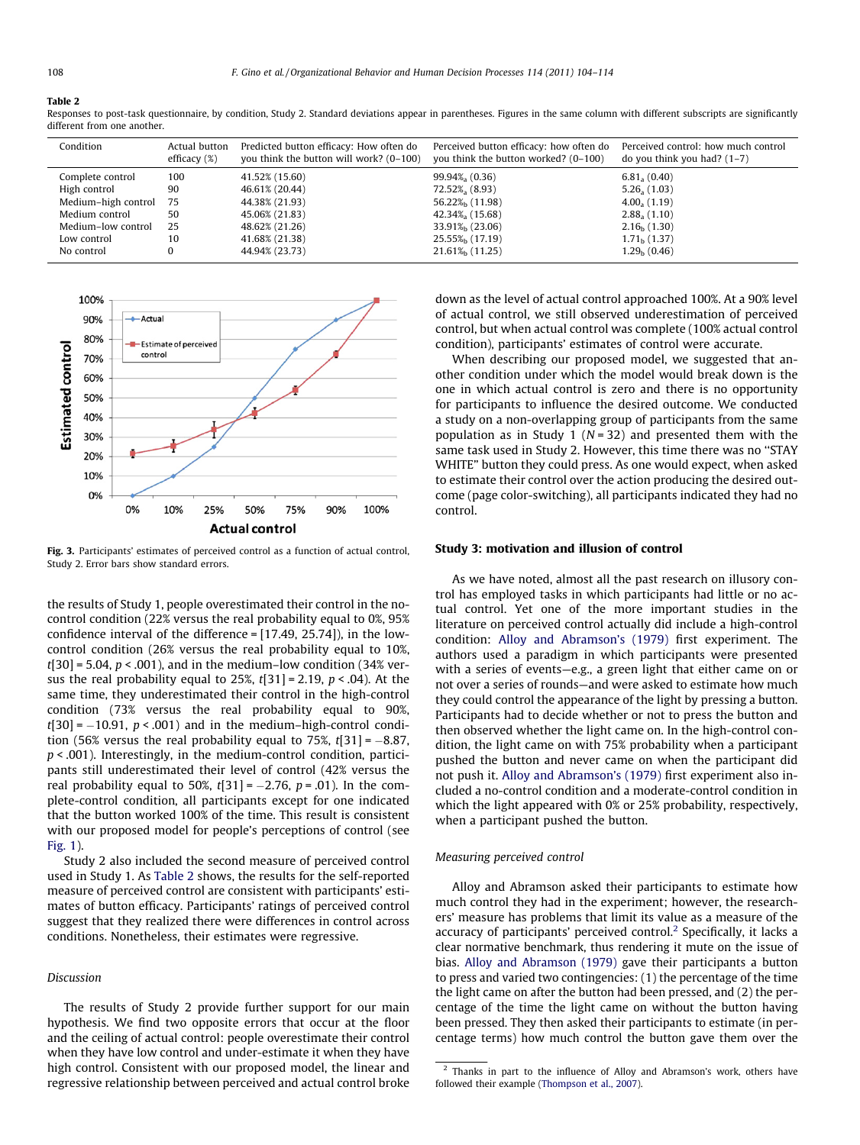#### <span id="page-4-0"></span>Table 2

Responses to post-task questionnaire, by condition, Study 2. Standard deviations appear in parentheses. Figures in the same column with different subscripts are significantly different from one another.

| Condition           | Actual button<br>efficacy (%) | Predicted button efficacy: How often do<br>you think the button will work? (0-100) | Perceived button efficacy: how often do<br>you think the button worked? (0-100) | Perceived control: how much control<br>do you think you had? $(1-7)$ |
|---------------------|-------------------------------|------------------------------------------------------------------------------------|---------------------------------------------------------------------------------|----------------------------------------------------------------------|
| Complete control    | 100                           | 41.52% (15.60)                                                                     | $99.94\%$ <sub>2</sub> (0.36)                                                   | $6.81_{a} (0.40)$                                                    |
| High control        | 90                            | 46.61% (20.44)                                                                     | $72.52\%$ <sub>3</sub> (8.93)                                                   | $5.26_{a}$ (1.03)                                                    |
| Medium-high control | 75                            | 44.38% (21.93)                                                                     | $56.22\%$ <sub>h</sub> (11.98)                                                  | $4.00a$ (1.19)                                                       |
| Medium control      | 50                            | 45.06% (21.83)                                                                     | $42.34\%$ <sub>2</sub> $(15.68)$                                                | $2.88_{a}$ (1.10)                                                    |
| Medium-low control  | 25                            | 48.62% (21.26)                                                                     | $33.91\%$ <sub>h</sub> $(23.06)$                                                | $2.16b$ (1.30)                                                       |
| Low control         | 10                            | 41.68% (21.38)                                                                     | $25.55\%$ <sub>h</sub> (17.19)                                                  | $1.71b$ (1.37)                                                       |
| No control          | 0                             | 44.94% (23.73)                                                                     | $21.61\%$ <sub>b</sub> $(11.25)$                                                | $1.29h$ (0.46)                                                       |



Fig. 3. Participants' estimates of perceived control as a function of actual control, Study 2. Error bars show standard errors.

the results of Study 1, people overestimated their control in the nocontrol condition (22% versus the real probability equal to 0%, 95% confidence interval of the difference = [17.49, 25.74]), in the lowcontrol condition (26% versus the real probability equal to 10%,  $t[30] = 5.04$ ,  $p < .001$ ), and in the medium–low condition (34% versus the real probability equal to 25%,  $t[31] = 2.19$ ,  $p < .04$ ). At the same time, they underestimated their control in the high-control condition (73% versus the real probability equal to 90%,  $t[30]$  =  $-10.91$ ,  $p < .001$ ) and in the medium–high-control condition (56% versus the real probability equal to 75%,  $t[31]$  =  $-8.87,$  $p < .001$ ). Interestingly, in the medium-control condition, participants still underestimated their level of control (42% versus the real probability equal to 50%,  $t[31]$  =  $-2.76$ ,  $p$  = .01). In the complete-control condition, all participants except for one indicated that the button worked 100% of the time. This result is consistent with our proposed model for people's perceptions of control (see [Fig. 1](#page-1-0)).

Study 2 also included the second measure of perceived control used in Study 1. As Table 2 shows, the results for the self-reported measure of perceived control are consistent with participants' estimates of button efficacy. Participants' ratings of perceived control suggest that they realized there were differences in control across conditions. Nonetheless, their estimates were regressive.

## Discussion

The results of Study 2 provide further support for our main hypothesis. We find two opposite errors that occur at the floor and the ceiling of actual control: people overestimate their control when they have low control and under-estimate it when they have high control. Consistent with our proposed model, the linear and regressive relationship between perceived and actual control broke down as the level of actual control approached 100%. At a 90% level of actual control, we still observed underestimation of perceived control, but when actual control was complete (100% actual control condition), participants' estimates of control were accurate.

When describing our proposed model, we suggested that another condition under which the model would break down is the one in which actual control is zero and there is no opportunity for participants to influence the desired outcome. We conducted a study on a non-overlapping group of participants from the same population as in Study 1 ( $N = 32$ ) and presented them with the same task used in Study 2. However, this time there was no ''STAY WHITE" button they could press. As one would expect, when asked to estimate their control over the action producing the desired outcome (page color-switching), all participants indicated they had no control.

#### Study 3: motivation and illusion of control

As we have noted, almost all the past research on illusory control has employed tasks in which participants had little or no actual control. Yet one of the more important studies in the literature on perceived control actually did include a high-control condition: [Alloy and Abramson's \(1979\)](#page-9-0) first experiment. The authors used a paradigm in which participants were presented with a series of events—e.g., a green light that either came on or not over a series of rounds—and were asked to estimate how much they could control the appearance of the light by pressing a button. Participants had to decide whether or not to press the button and then observed whether the light came on. In the high-control condition, the light came on with 75% probability when a participant pushed the button and never came on when the participant did not push it. [Alloy and Abramson's \(1979\)](#page-9-0) first experiment also included a no-control condition and a moderate-control condition in which the light appeared with 0% or 25% probability, respectively, when a participant pushed the button.

#### Measuring perceived control

Alloy and Abramson asked their participants to estimate how much control they had in the experiment; however, the researchers' measure has problems that limit its value as a measure of the accuracy of participants' perceived control.<sup>2</sup> Specifically, it lacks a clear normative benchmark, thus rendering it mute on the issue of bias. [Alloy and Abramson \(1979\)](#page-9-0) gave their participants a button to press and varied two contingencies: (1) the percentage of the time the light came on after the button had been pressed, and (2) the percentage of the time the light came on without the button having been pressed. They then asked their participants to estimate (in percentage terms) how much control the button gave them over the

<sup>&</sup>lt;sup>2</sup> Thanks in part to the influence of Alloy and Abramson's work, others have followed their example [\(Thompson et al., 2007\)](#page-10-0).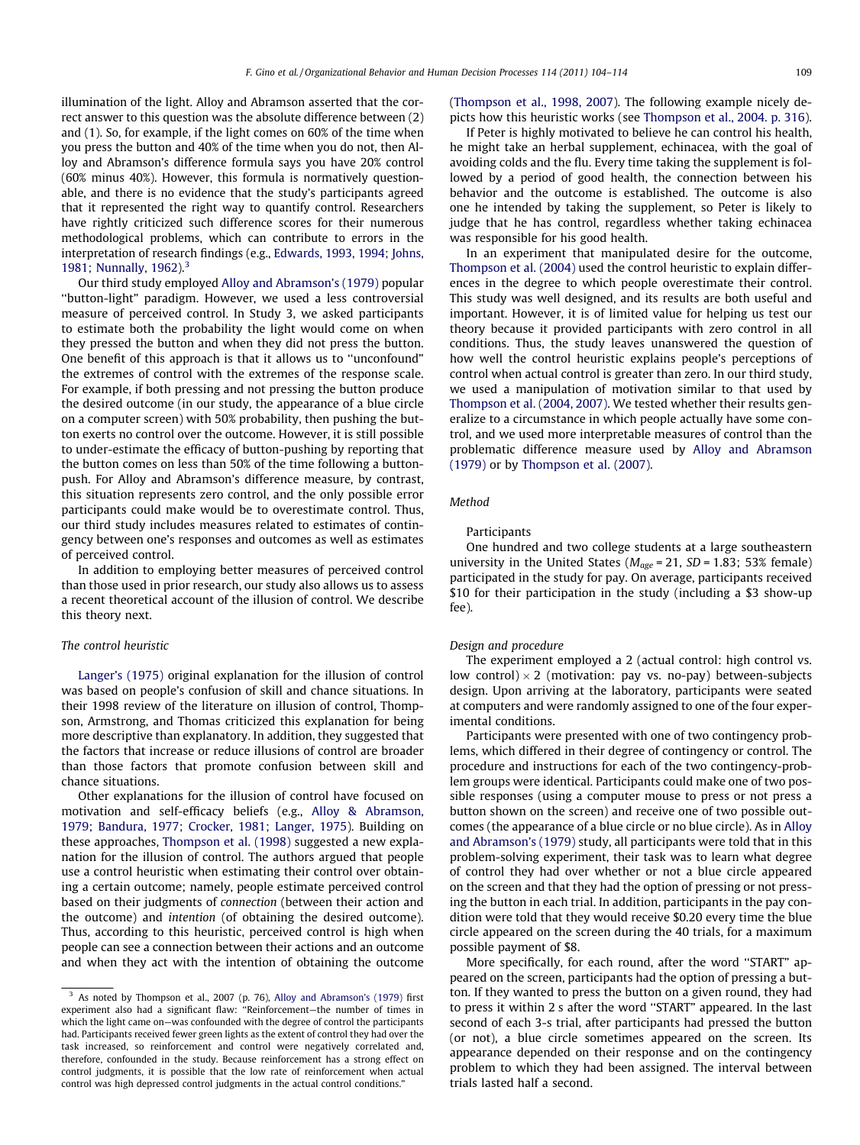illumination of the light. Alloy and Abramson asserted that the correct answer to this question was the absolute difference between (2) and (1). So, for example, if the light comes on 60% of the time when you press the button and 40% of the time when you do not, then Alloy and Abramson's difference formula says you have 20% control (60% minus 40%). However, this formula is normatively questionable, and there is no evidence that the study's participants agreed that it represented the right way to quantify control. Researchers have rightly criticized such difference scores for their numerous methodological problems, which can contribute to errors in the interpretation of research findings (e.g., [Edwards, 1993, 1994; Johns,](#page-10-0) [1981; Nunnally, 1962](#page-10-0)).<sup>3</sup>

Our third study employed [Alloy and Abramson's \(1979\)](#page-9-0) popular ''button-light" paradigm. However, we used a less controversial measure of perceived control. In Study 3, we asked participants to estimate both the probability the light would come on when they pressed the button and when they did not press the button. One benefit of this approach is that it allows us to ''unconfound" the extremes of control with the extremes of the response scale. For example, if both pressing and not pressing the button produce the desired outcome (in our study, the appearance of a blue circle on a computer screen) with 50% probability, then pushing the button exerts no control over the outcome. However, it is still possible to under-estimate the efficacy of button-pushing by reporting that the button comes on less than 50% of the time following a buttonpush. For Alloy and Abramson's difference measure, by contrast, this situation represents zero control, and the only possible error participants could make would be to overestimate control. Thus, our third study includes measures related to estimates of contingency between one's responses and outcomes as well as estimates of perceived control.

In addition to employing better measures of perceived control than those used in prior research, our study also allows us to assess a recent theoretical account of the illusion of control. We describe this theory next.

## The control heuristic

[Langer's \(1975\)](#page-10-0) original explanation for the illusion of control was based on people's confusion of skill and chance situations. In their 1998 review of the literature on illusion of control, Thompson, Armstrong, and Thomas criticized this explanation for being more descriptive than explanatory. In addition, they suggested that the factors that increase or reduce illusions of control are broader than those factors that promote confusion between skill and chance situations.

Other explanations for the illusion of control have focused on motivation and self-efficacy beliefs (e.g., [Alloy & Abramson,](#page-9-0) [1979; Bandura, 1977; Crocker, 1981; Langer, 1975](#page-9-0)). Building on these approaches, [Thompson et al. \(1998\)](#page-10-0) suggested a new explanation for the illusion of control. The authors argued that people use a control heuristic when estimating their control over obtaining a certain outcome; namely, people estimate perceived control based on their judgments of connection (between their action and the outcome) and intention (of obtaining the desired outcome). Thus, according to this heuristic, perceived control is high when people can see a connection between their actions and an outcome and when they act with the intention of obtaining the outcome ([Thompson et al., 1998, 2007\)](#page-10-0). The following example nicely depicts how this heuristic works (see [Thompson et al., 2004. p. 316\)](#page-10-0).

If Peter is highly motivated to believe he can control his health, he might take an herbal supplement, echinacea, with the goal of avoiding colds and the flu. Every time taking the supplement is followed by a period of good health, the connection between his behavior and the outcome is established. The outcome is also one he intended by taking the supplement, so Peter is likely to judge that he has control, regardless whether taking echinacea was responsible for his good health.

In an experiment that manipulated desire for the outcome, [Thompson et al. \(2004\)](#page-10-0) used the control heuristic to explain differences in the degree to which people overestimate their control. This study was well designed, and its results are both useful and important. However, it is of limited value for helping us test our theory because it provided participants with zero control in all conditions. Thus, the study leaves unanswered the question of how well the control heuristic explains people's perceptions of control when actual control is greater than zero. In our third study, we used a manipulation of motivation similar to that used by [Thompson et al. \(2004, 2007\).](#page-10-0) We tested whether their results generalize to a circumstance in which people actually have some control, and we used more interpretable measures of control than the problematic difference measure used by [Alloy and Abramson](#page-9-0) [\(1979\)](#page-9-0) or by [Thompson et al. \(2007\)](#page-10-0).

## Method

#### Participants

One hundred and two college students at a large southeastern university in the United States ( $M_{age}$  = 21, SD = 1.83; 53% female) participated in the study for pay. On average, participants received \$10 for their participation in the study (including a \$3 show-up fee).

## Design and procedure

The experiment employed a 2 (actual control: high control vs. low control)  $\times$  2 (motivation: pay vs. no-pay) between-subjects design. Upon arriving at the laboratory, participants were seated at computers and were randomly assigned to one of the four experimental conditions.

Participants were presented with one of two contingency problems, which differed in their degree of contingency or control. The procedure and instructions for each of the two contingency-problem groups were identical. Participants could make one of two possible responses (using a computer mouse to press or not press a button shown on the screen) and receive one of two possible outcomes (the appearance of a blue circle or no blue circle). As in [Alloy](#page-9-0) [and Abramson's \(1979\)](#page-9-0) study, all participants were told that in this problem-solving experiment, their task was to learn what degree of control they had over whether or not a blue circle appeared on the screen and that they had the option of pressing or not pressing the button in each trial. In addition, participants in the pay condition were told that they would receive \$0.20 every time the blue circle appeared on the screen during the 40 trials, for a maximum possible payment of \$8.

More specifically, for each round, after the word ''START" appeared on the screen, participants had the option of pressing a button. If they wanted to press the button on a given round, they had to press it within 2 s after the word ''START" appeared. In the last second of each 3-s trial, after participants had pressed the button (or not), a blue circle sometimes appeared on the screen. Its appearance depended on their response and on the contingency problem to which they had been assigned. The interval between trials lasted half a second.

<sup>&</sup>lt;sup>3</sup> As noted by Thompson et al., 2007 (p. 76), [Alloy and Abramson's \(1979\)](#page-9-0) first experiment also had a significant flaw: ''Reinforcement—the number of times in which the light came on—was confounded with the degree of control the participants had. Participants received fewer green lights as the extent of control they had over the task increased, so reinforcement and control were negatively correlated and, therefore, confounded in the study. Because reinforcement has a strong effect on control judgments, it is possible that the low rate of reinforcement when actual control was high depressed control judgments in the actual control conditions."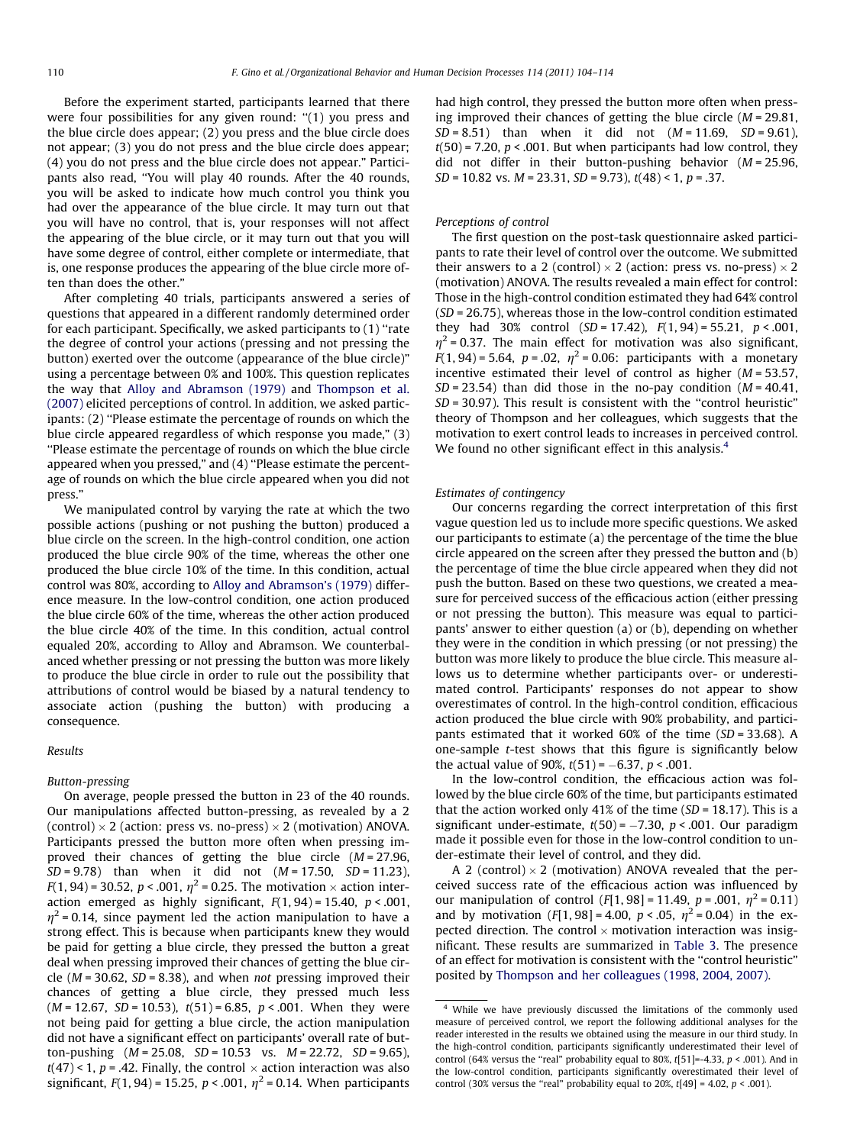Before the experiment started, participants learned that there were four possibilities for any given round: "(1) you press and the blue circle does appear; (2) you press and the blue circle does not appear; (3) you do not press and the blue circle does appear; (4) you do not press and the blue circle does not appear." Participants also read, ''You will play 40 rounds. After the 40 rounds, you will be asked to indicate how much control you think you had over the appearance of the blue circle. It may turn out that you will have no control, that is, your responses will not affect the appearing of the blue circle, or it may turn out that you will have some degree of control, either complete or intermediate, that is, one response produces the appearing of the blue circle more often than does the other."

After completing 40 trials, participants answered a series of questions that appeared in a different randomly determined order for each participant. Specifically, we asked participants to (1) ''rate the degree of control your actions (pressing and not pressing the button) exerted over the outcome (appearance of the blue circle)" using a percentage between 0% and 100%. This question replicates the way that [Alloy and Abramson \(1979\)](#page-9-0) and [Thompson et al.](#page-10-0) [\(2007\)](#page-10-0) elicited perceptions of control. In addition, we asked participants: (2) ''Please estimate the percentage of rounds on which the blue circle appeared regardless of which response you made," (3) ''Please estimate the percentage of rounds on which the blue circle appeared when you pressed," and (4) ''Please estimate the percentage of rounds on which the blue circle appeared when you did not press."

We manipulated control by varying the rate at which the two possible actions (pushing or not pushing the button) produced a blue circle on the screen. In the high-control condition, one action produced the blue circle 90% of the time, whereas the other one produced the blue circle 10% of the time. In this condition, actual control was 80%, according to [Alloy and Abramson's \(1979\)](#page-9-0) difference measure. In the low-control condition, one action produced the blue circle 60% of the time, whereas the other action produced the blue circle 40% of the time. In this condition, actual control equaled 20%, according to Alloy and Abramson. We counterbalanced whether pressing or not pressing the button was more likely to produce the blue circle in order to rule out the possibility that attributions of control would be biased by a natural tendency to associate action (pushing the button) with producing a consequence.

## Results

#### Button-pressing

On average, people pressed the button in 23 of the 40 rounds. Our manipulations affected button-pressing, as revealed by a 2 (control)  $\times$  2 (action: press vs. no-press)  $\times$  2 (motivation) ANOVA. Participants pressed the button more often when pressing improved their chances of getting the blue circle  $(M = 27.96,$  $SD = 9.78$ ) than when it did not  $(M = 17.50, SD = 11.23)$ ,  $F(1, 94) = 30.52$ ,  $p < .001$ ,  $\eta^2 = 0.25$ . The motivation  $\times$  action interaction emerged as highly significant,  $F(1, 94) = 15.40$ ,  $p < .001$ ,  $\eta^2$  = 0.14, since payment led the action manipulation to have a strong effect. This is because when participants knew they would be paid for getting a blue circle, they pressed the button a great deal when pressing improved their chances of getting the blue circle ( $M = 30.62$ ,  $SD = 8.38$ ), and when not pressing improved their chances of getting a blue circle, they pressed much less  $(M = 12.67, SD = 10.53), t(51) = 6.85, p < .001.$  When they were not being paid for getting a blue circle, the action manipulation did not have a significant effect on participants' overall rate of button-pushing  $(M = 25.08, SD = 10.53$  vs.  $M = 22.72, SD = 9.65$ ),  $t(47)$  < 1, p = .42. Finally, the control  $\times$  action interaction was also significant,  $F(1, 94) = 15.25$ ,  $p < .001$ ,  $\eta^2 = 0.14$ . When participants had high control, they pressed the button more often when pressing improved their chances of getting the blue circle  $(M = 29.81)$ .  $SD = 8.51$ ) than when it did not  $(M = 11.69, SD = 9.61)$ .  $t(50)$  = 7.20,  $p < .001$ . But when participants had low control, they did not differ in their button-pushing behavior  $(M = 25.96,$  $SD = 10.82$  vs.  $M = 23.31$ ,  $SD = 9.73$ ),  $t(48) < 1$ ,  $p = .37$ .

#### Perceptions of control

The first question on the post-task questionnaire asked participants to rate their level of control over the outcome. We submitted their answers to a 2 (control)  $\times$  2 (action: press vs. no-press)  $\times$  2 (motivation) ANOVA. The results revealed a main effect for control: Those in the high-control condition estimated they had 64% control (SD = 26.75), whereas those in the low-control condition estimated they had 30% control  $(SD = 17.42)$ ,  $F(1, 94) = 55.21$ ,  $p < .001$ ,  $\eta^2$  = 0.37. The main effect for motivation was also significant,  $F(1, 94) = 5.64$ ,  $p = .02$ ,  $\eta^2 = 0.06$ : participants with a monetary incentive estimated their level of control as higher ( $M = 53.57$ ,  $SD = 23.54$ ) than did those in the no-pay condition ( $M = 40.41$ , SD = 30.97). This result is consistent with the ''control heuristic" theory of Thompson and her colleagues, which suggests that the motivation to exert control leads to increases in perceived control. We found no other significant effect in this analysis.<sup>4</sup>

#### Estimates of contingency

Our concerns regarding the correct interpretation of this first vague question led us to include more specific questions. We asked our participants to estimate (a) the percentage of the time the blue circle appeared on the screen after they pressed the button and (b) the percentage of time the blue circle appeared when they did not push the button. Based on these two questions, we created a measure for perceived success of the efficacious action (either pressing or not pressing the button). This measure was equal to participants' answer to either question (a) or (b), depending on whether they were in the condition in which pressing (or not pressing) the button was more likely to produce the blue circle. This measure allows us to determine whether participants over- or underestimated control. Participants' responses do not appear to show overestimates of control. In the high-control condition, efficacious action produced the blue circle with 90% probability, and participants estimated that it worked 60% of the time (SD = 33.68). A one-sample t-test shows that this figure is significantly below the actual value of 90%,  $t(51) = -6.37$ ,  $p < .001$ .

In the low-control condition, the efficacious action was followed by the blue circle 60% of the time, but participants estimated that the action worked only 41% of the time  $SD = 18.17$ ). This is a significant under-estimate,  $t(50) = -7.30$ ,  $p < .001$ . Our paradigm made it possible even for those in the low-control condition to under-estimate their level of control, and they did.

A 2 (control)  $\times$  2 (motivation) ANOVA revealed that the perceived success rate of the efficacious action was influenced by our manipulation of control  $(F[1, 98] = 11.49, p = .001, \eta^2 = 0.11)$ and by motivation  $(F[1, 98] = 4.00, p < .05, \eta^2 = 0.04)$  in the expected direction. The control  $\times$  motivation interaction was insignificant. These results are summarized in [Table 3](#page-7-0). The presence of an effect for motivation is consistent with the ''control heuristic" posited by [Thompson and her colleagues \(1998, 2004, 2007\)](#page-10-0).

<sup>4</sup> While we have previously discussed the limitations of the commonly used measure of perceived control, we report the following additional analyses for the reader interested in the results we obtained using the measure in our third study. In the high-control condition, participants significantly underestimated their level of control (64% versus the "real" probability equal to 80%,  $t[51] = -4.33$ ,  $p < .001$ ). And in the low-control condition, participants significantly overestimated their level of control (30% versus the "real" probability equal to 20%,  $t[49] = 4.02$ ,  $p < .001$ ).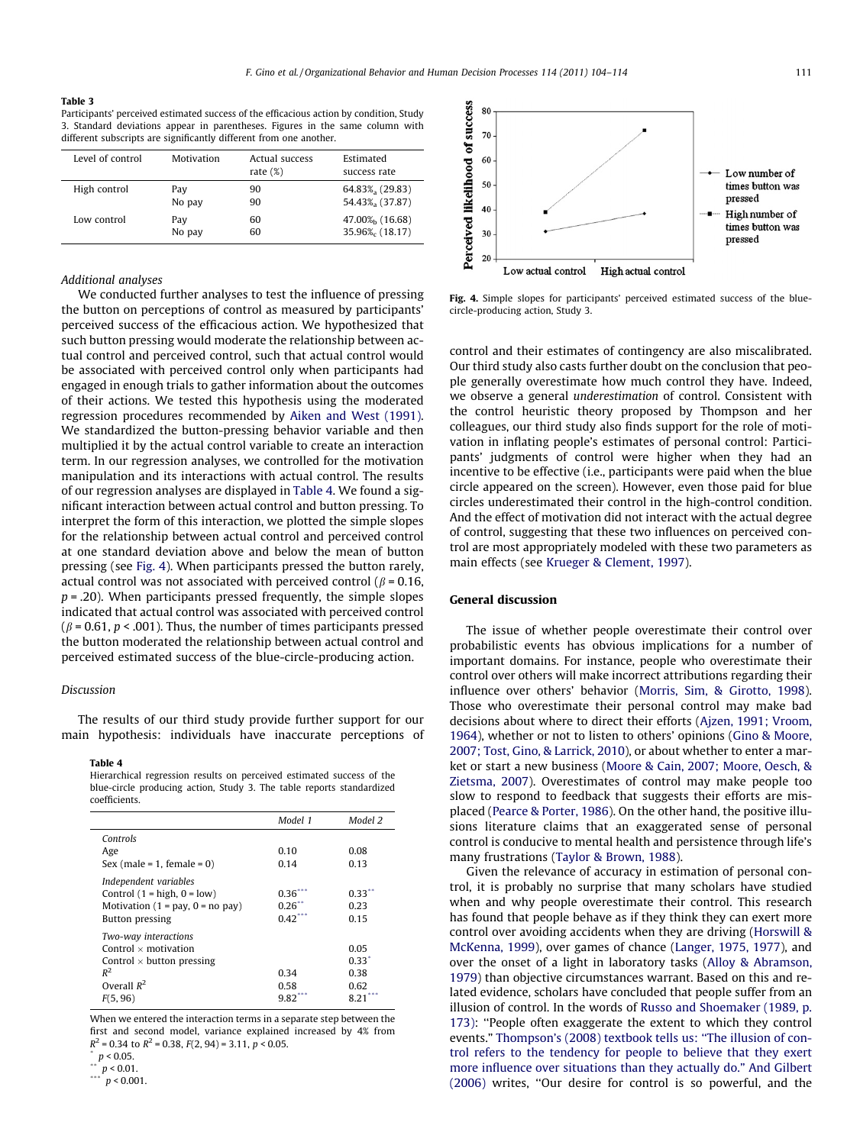#### <span id="page-7-0"></span>Table 3

Participants' perceived estimated success of the efficacious action by condition, Study 3. Standard deviations appear in parentheses. Figures in the same column with different subscripts are significantly different from one another.

| Level of control | Motivation | Actual success<br>rate $(\%)$ | Estimated<br>success rate      |
|------------------|------------|-------------------------------|--------------------------------|
| High control     | Pay        | 90                            | 64.83%, (29.83)                |
|                  | No pay     | 90                            | 54.43%, (37.87)                |
| Low control      | Pay        | 60                            | $47.00\%$ <sub>h</sub> (16.68) |
|                  | No pay     | 60                            | 35.96% (18.17)                 |

#### Additional analyses

We conducted further analyses to test the influence of pressing the button on perceptions of control as measured by participants' perceived success of the efficacious action. We hypothesized that such button pressing would moderate the relationship between actual control and perceived control, such that actual control would be associated with perceived control only when participants had engaged in enough trials to gather information about the outcomes of their actions. We tested this hypothesis using the moderated regression procedures recommended by [Aiken and West \(1991\).](#page-9-0) We standardized the button-pressing behavior variable and then multiplied it by the actual control variable to create an interaction term. In our regression analyses, we controlled for the motivation manipulation and its interactions with actual control. The results of our regression analyses are displayed in Table 4. We found a significant interaction between actual control and button pressing. To interpret the form of this interaction, we plotted the simple slopes for the relationship between actual control and perceived control at one standard deviation above and below the mean of button pressing (see Fig. 4). When participants pressed the button rarely, actual control was not associated with perceived control ( $\beta$  = 0.16,  $p = 0.20$ . When participants pressed frequently, the simple slopes indicated that actual control was associated with perceived control ( $\beta$  = 0.61,  $p$  < .001). Thus, the number of times participants pressed the button moderated the relationship between actual control and perceived estimated success of the blue-circle-producing action.

#### Discussion

The results of our third study provide further support for our main hypothesis: individuals have inaccurate perceptions of

#### Table 4

Hierarchical regression results on perceived estimated success of the blue-circle producing action, Study 3. The table reports standardized coefficients.

|                                                                                                                               | Model 1                               | Model 2                                 |
|-------------------------------------------------------------------------------------------------------------------------------|---------------------------------------|-----------------------------------------|
| Controls<br>Age<br>Sex (male = 1, female = $0$ )                                                                              | 0.10<br>0.14                          | 0.08<br>0.13                            |
| Independent variables<br>Control $(1 = high, 0 = low)$<br>Motivation $(1 = pay, 0 = no pay)$<br>Button pressing               | 0.36<br>0.26<br>$0.42$ <sup>***</sup> | $0.33$ **<br>0.23<br>0.15               |
| Two-way interactions<br>Control $\times$ motivation<br>Control $\times$ button pressing<br>$R^2$<br>Overall $R^2$<br>F(5, 96) | 0.34<br>0.58<br>9.82                  | 0.05<br>$0.33*$<br>0.38<br>0.62<br>8.21 |

When we entered the interaction terms in a separate step between the first and second model, variance explained increased by 4% from  $R^2$  = 0.34 to  $R^2$  = 0.38,  $F(2, 94)$  = 3.11,  $p < 0.05$ .

 $p < 0.05$ .

\*\*  $p < 0.01$ .

 $p < 0.001$ .



Fig. 4. Simple slopes for participants' perceived estimated success of the bluecircle-producing action, Study 3.

control and their estimates of contingency are also miscalibrated. Our third study also casts further doubt on the conclusion that people generally overestimate how much control they have. Indeed, we observe a general underestimation of control. Consistent with the control heuristic theory proposed by Thompson and her colleagues, our third study also finds support for the role of motivation in inflating people's estimates of personal control: Participants' judgments of control were higher when they had an incentive to be effective (i.e., participants were paid when the blue circle appeared on the screen). However, even those paid for blue circles underestimated their control in the high-control condition. And the effect of motivation did not interact with the actual degree of control, suggesting that these two influences on perceived control are most appropriately modeled with these two parameters as main effects (see [Krueger & Clement, 1997](#page-10-0)).

# General discussion

The issue of whether people overestimate their control over probabilistic events has obvious implications for a number of important domains. For instance, people who overestimate their control over others will make incorrect attributions regarding their influence over others' behavior ([Morris, Sim, & Girotto, 1998\)](#page-10-0). Those who overestimate their personal control may make bad decisions about where to direct their efforts [\(Ajzen, 1991; Vroom,](#page-9-0) [1964\)](#page-9-0), whether or not to listen to others' opinions ([Gino & Moore,](#page-10-0) [2007; Tost, Gino, & Larrick, 2010\)](#page-10-0), or about whether to enter a market or start a new business [\(Moore & Cain, 2007; Moore, Oesch, &](#page-10-0) [Zietsma, 2007](#page-10-0)). Overestimates of control may make people too slow to respond to feedback that suggests their efforts are misplaced [\(Pearce & Porter, 1986\)](#page-10-0). On the other hand, the positive illusions literature claims that an exaggerated sense of personal control is conducive to mental health and persistence through life's many frustrations [\(Taylor & Brown, 1988](#page-10-0)).

Given the relevance of accuracy in estimation of personal control, it is probably no surprise that many scholars have studied when and why people overestimate their control. This research has found that people behave as if they think they can exert more control over avoiding accidents when they are driving [\(Horswill &](#page-10-0) [McKenna, 1999\)](#page-10-0), over games of chance ([Langer, 1975, 1977\)](#page-10-0), and over the onset of a light in laboratory tasks [\(Alloy & Abramson,](#page-9-0) [1979\)](#page-9-0) than objective circumstances warrant. Based on this and related evidence, scholars have concluded that people suffer from an illusion of control. In the words of [Russo and Shoemaker \(1989, p.](#page-10-0) [173\):](#page-10-0) ''People often exaggerate the extent to which they control events." [Thompson's \(2008\) textbook tells us: ''The illusion of con](#page-10-0)[trol refers to the tendency for people to believe that they exert](#page-10-0) [more influence over situations than they actually do." And Gilbert](#page-10-0) [\(2006\)](#page-10-0) writes, ''Our desire for control is so powerful, and the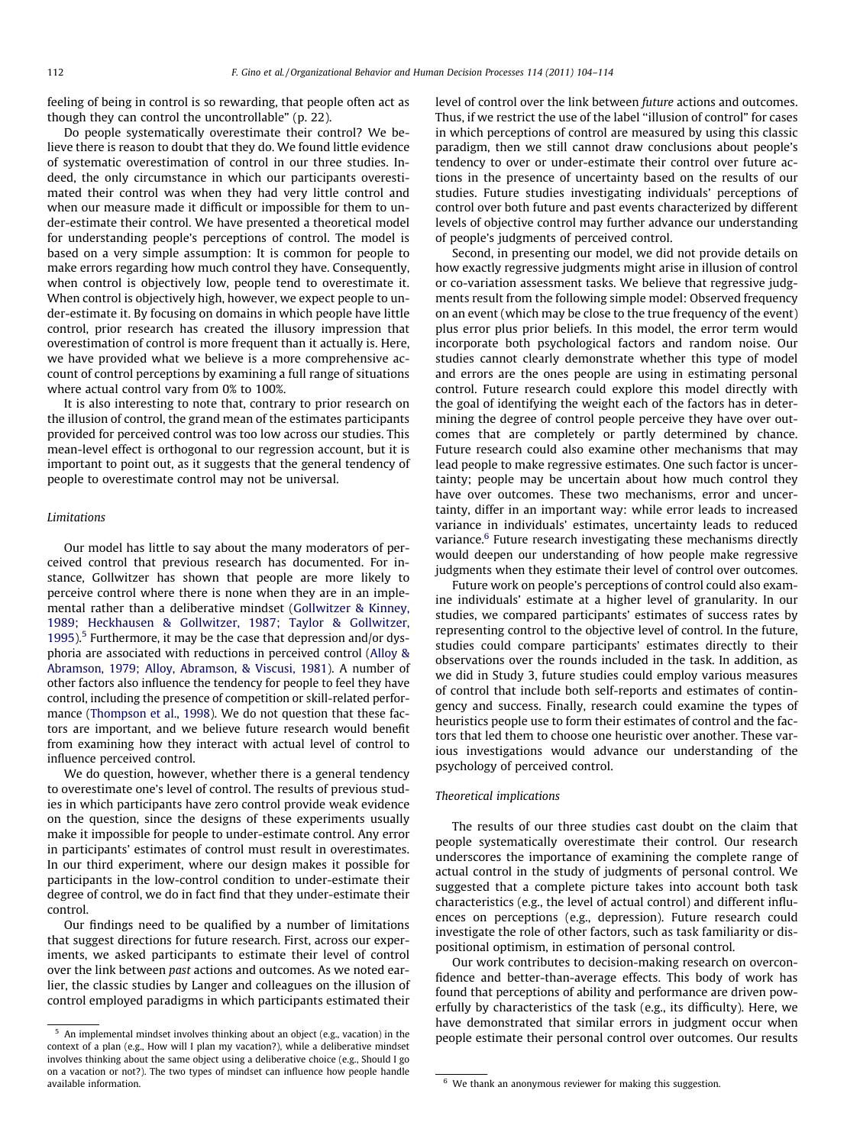feeling of being in control is so rewarding, that people often act as though they can control the uncontrollable" (p. 22).

Do people systematically overestimate their control? We believe there is reason to doubt that they do. We found little evidence of systematic overestimation of control in our three studies. Indeed, the only circumstance in which our participants overestimated their control was when they had very little control and when our measure made it difficult or impossible for them to under-estimate their control. We have presented a theoretical model for understanding people's perceptions of control. The model is based on a very simple assumption: It is common for people to make errors regarding how much control they have. Consequently, when control is objectively low, people tend to overestimate it. When control is objectively high, however, we expect people to under-estimate it. By focusing on domains in which people have little control, prior research has created the illusory impression that overestimation of control is more frequent than it actually is. Here, we have provided what we believe is a more comprehensive account of control perceptions by examining a full range of situations where actual control vary from 0% to 100%.

It is also interesting to note that, contrary to prior research on the illusion of control, the grand mean of the estimates participants provided for perceived control was too low across our studies. This mean-level effect is orthogonal to our regression account, but it is important to point out, as it suggests that the general tendency of people to overestimate control may not be universal.

## Limitations

Our model has little to say about the many moderators of perceived control that previous research has documented. For instance, Gollwitzer has shown that people are more likely to perceive control where there is none when they are in an implemental rather than a deliberative mindset [\(Gollwitzer & Kinney,](#page-10-0) [1989; Heckhausen & Gollwitzer, 1987; Taylor & Gollwitzer,](#page-10-0) [1995\)](#page-10-0).<sup>5</sup> Furthermore, it may be the case that depression and/or dysphoria are associated with reductions in perceived control [\(Alloy &](#page-9-0) [Abramson, 1979; Alloy, Abramson, & Viscusi, 1981\)](#page-9-0). A number of other factors also influence the tendency for people to feel they have control, including the presence of competition or skill-related performance ([Thompson et al., 1998\)](#page-10-0). We do not question that these factors are important, and we believe future research would benefit from examining how they interact with actual level of control to influence perceived control.

We do question, however, whether there is a general tendency to overestimate one's level of control. The results of previous studies in which participants have zero control provide weak evidence on the question, since the designs of these experiments usually make it impossible for people to under-estimate control. Any error in participants' estimates of control must result in overestimates. In our third experiment, where our design makes it possible for participants in the low-control condition to under-estimate their degree of control, we do in fact find that they under-estimate their control.

Our findings need to be qualified by a number of limitations that suggest directions for future research. First, across our experiments, we asked participants to estimate their level of control over the link between past actions and outcomes. As we noted earlier, the classic studies by Langer and colleagues on the illusion of control employed paradigms in which participants estimated their level of control over the link between future actions and outcomes. Thus, if we restrict the use of the label ''illusion of control" for cases in which perceptions of control are measured by using this classic paradigm, then we still cannot draw conclusions about people's tendency to over or under-estimate their control over future actions in the presence of uncertainty based on the results of our studies. Future studies investigating individuals' perceptions of control over both future and past events characterized by different levels of objective control may further advance our understanding of people's judgments of perceived control.

Second, in presenting our model, we did not provide details on how exactly regressive judgments might arise in illusion of control or co-variation assessment tasks. We believe that regressive judgments result from the following simple model: Observed frequency on an event (which may be close to the true frequency of the event) plus error plus prior beliefs. In this model, the error term would incorporate both psychological factors and random noise. Our studies cannot clearly demonstrate whether this type of model and errors are the ones people are using in estimating personal control. Future research could explore this model directly with the goal of identifying the weight each of the factors has in determining the degree of control people perceive they have over outcomes that are completely or partly determined by chance. Future research could also examine other mechanisms that may lead people to make regressive estimates. One such factor is uncertainty; people may be uncertain about how much control they have over outcomes. These two mechanisms, error and uncertainty, differ in an important way: while error leads to increased variance in individuals' estimates, uncertainty leads to reduced variance. $^6$  Future research investigating these mechanisms directly would deepen our understanding of how people make regressive judgments when they estimate their level of control over outcomes.

Future work on people's perceptions of control could also examine individuals' estimate at a higher level of granularity. In our studies, we compared participants' estimates of success rates by representing control to the objective level of control. In the future, studies could compare participants' estimates directly to their observations over the rounds included in the task. In addition, as we did in Study 3, future studies could employ various measures of control that include both self-reports and estimates of contingency and success. Finally, research could examine the types of heuristics people use to form their estimates of control and the factors that led them to choose one heuristic over another. These various investigations would advance our understanding of the psychology of perceived control.

## Theoretical implications

The results of our three studies cast doubt on the claim that people systematically overestimate their control. Our research underscores the importance of examining the complete range of actual control in the study of judgments of personal control. We suggested that a complete picture takes into account both task characteristics (e.g., the level of actual control) and different influences on perceptions (e.g., depression). Future research could investigate the role of other factors, such as task familiarity or dispositional optimism, in estimation of personal control.

Our work contributes to decision-making research on overconfidence and better-than-average effects. This body of work has found that perceptions of ability and performance are driven powerfully by characteristics of the task (e.g., its difficulty). Here, we have demonstrated that similar errors in judgment occur when <sup>5</sup> An implemental mindset involves thinking about an object (e.g., vacation) in the people estimate their personal control over outcomes. Our results

context of a plan (e.g., How will I plan my vacation?), while a deliberative mindset involves thinking about the same object using a deliberative choice (e.g., Should I go on a vacation or not?). The two types of mindset can influence how people handle available information. <sup>6</sup> We thank an anonymous reviewer for making this suggestion.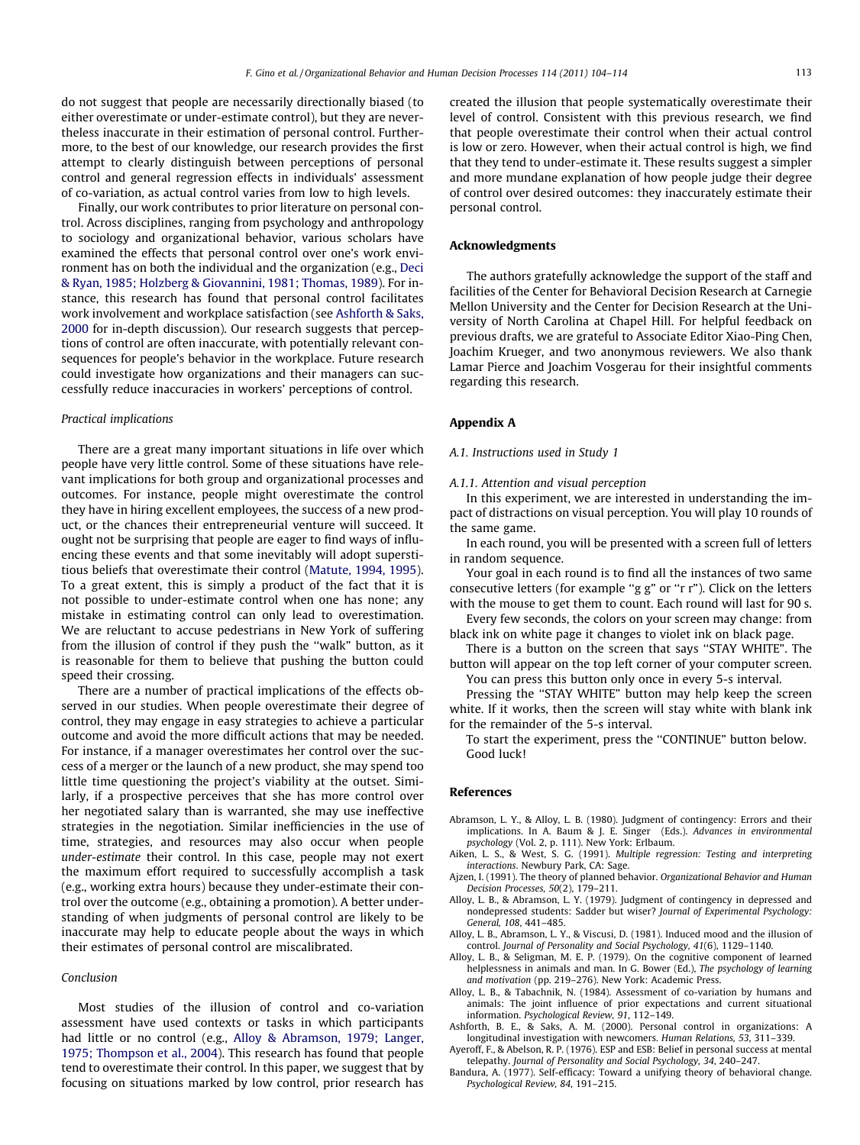<span id="page-9-0"></span>do not suggest that people are necessarily directionally biased (to either overestimate or under-estimate control), but they are nevertheless inaccurate in their estimation of personal control. Furthermore, to the best of our knowledge, our research provides the first attempt to clearly distinguish between perceptions of personal control and general regression effects in individuals' assessment of co-variation, as actual control varies from low to high levels.

Finally, our work contributes to prior literature on personal control. Across disciplines, ranging from psychology and anthropology to sociology and organizational behavior, various scholars have examined the effects that personal control over one's work environment has on both the individual and the organization (e.g., [Deci](#page-10-0) [& Ryan, 1985; Holzberg & Giovannini, 1981; Thomas, 1989\)](#page-10-0). For instance, this research has found that personal control facilitates work involvement and workplace satisfaction (see Ashforth & Saks, 2000 for in-depth discussion). Our research suggests that perceptions of control are often inaccurate, with potentially relevant consequences for people's behavior in the workplace. Future research could investigate how organizations and their managers can successfully reduce inaccuracies in workers' perceptions of control.

## Practical implications

There are a great many important situations in life over which people have very little control. Some of these situations have relevant implications for both group and organizational processes and outcomes. For instance, people might overestimate the control they have in hiring excellent employees, the success of a new product, or the chances their entrepreneurial venture will succeed. It ought not be surprising that people are eager to find ways of influencing these events and that some inevitably will adopt superstitious beliefs that overestimate their control [\(Matute, 1994, 1995\)](#page-10-0). To a great extent, this is simply a product of the fact that it is not possible to under-estimate control when one has none; any mistake in estimating control can only lead to overestimation. We are reluctant to accuse pedestrians in New York of suffering from the illusion of control if they push the ''walk" button, as it is reasonable for them to believe that pushing the button could speed their crossing.

There are a number of practical implications of the effects observed in our studies. When people overestimate their degree of control, they may engage in easy strategies to achieve a particular outcome and avoid the more difficult actions that may be needed. For instance, if a manager overestimates her control over the success of a merger or the launch of a new product, she may spend too little time questioning the project's viability at the outset. Similarly, if a prospective perceives that she has more control over her negotiated salary than is warranted, she may use ineffective strategies in the negotiation. Similar inefficiencies in the use of time, strategies, and resources may also occur when people under-estimate their control. In this case, people may not exert the maximum effort required to successfully accomplish a task (e.g., working extra hours) because they under-estimate their control over the outcome (e.g., obtaining a promotion). A better understanding of when judgments of personal control are likely to be inaccurate may help to educate people about the ways in which their estimates of personal control are miscalibrated.

## Conclusion

Most studies of the illusion of control and co-variation assessment have used contexts or tasks in which participants had little or no control (e.g., Alloy & Abramson, 1979; Langer, 1975; Thompson et al., 2004). This research has found that people tend to overestimate their control. In this paper, we suggest that by focusing on situations marked by low control, prior research has

created the illusion that people systematically overestimate their level of control. Consistent with this previous research, we find that people overestimate their control when their actual control is low or zero. However, when their actual control is high, we find that they tend to under-estimate it. These results suggest a simpler and more mundane explanation of how people judge their degree of control over desired outcomes: they inaccurately estimate their personal control.

#### Acknowledgments

The authors gratefully acknowledge the support of the staff and facilities of the Center for Behavioral Decision Research at Carnegie Mellon University and the Center for Decision Research at the University of North Carolina at Chapel Hill. For helpful feedback on previous drafts, we are grateful to Associate Editor Xiao-Ping Chen, Joachim Krueger, and two anonymous reviewers. We also thank Lamar Pierce and Joachim Vosgerau for their insightful comments regarding this research.

# Appendix A

## A.1. Instructions used in Study 1

A.1.1. Attention and visual perception

In this experiment, we are interested in understanding the impact of distractions on visual perception. You will play 10 rounds of the same game.

In each round, you will be presented with a screen full of letters in random sequence.

Your goal in each round is to find all the instances of two same consecutive letters (for example ''g g" or ''r r"). Click on the letters with the mouse to get them to count. Each round will last for 90 s.

Every few seconds, the colors on your screen may change: from black ink on white page it changes to violet ink on black page.

There is a button on the screen that says ''STAY WHITE". The

button will appear on the top left corner of your computer screen. You can press this button only once in every 5-s interval.

Pressing the ''STAY WHITE" button may help keep the screen white. If it works, then the screen will stay white with blank ink for the remainder of the 5-s interval.

To start the experiment, press the ''CONTINUE" button below. Good luck!

#### References

- Abramson, L. Y., & Alloy, L. B. (1980). Judgment of contingency: Errors and their implications. In A. Baum & J. E. Singer (Eds.). Advances in environmental psychology (Vol. 2, p. 111). New York: Erlbaum.
- Aiken, L. S., & West, S. G. (1991). Multiple regression: Testing and interpreting interactions. Newbury Park, CA: Sage.
- Ajzen, I. (1991). The theory of planned behavior. Organizational Behavior and Human Decision Processes, 50(2), 179–211.
- Alloy, L. B., & Abramson, L. Y. (1979). Judgment of contingency in depressed and nondepressed students: Sadder but wiser? Journal of Experimental Psychology: General, 108, 441–485.
- Alloy, L. B., Abramson, L. Y., & Viscusi, D. (1981). Induced mood and the illusion of control. Journal of Personality and Social Psychology, 41(6), 1129–1140.
- Alloy, L. B., & Seligman, M. E. P. (1979). On the cognitive component of learned helplessness in animals and man. In G. Bower (Ed.), The psychology of learning and motivation (pp. 219–276). New York: Academic Press.
- Alloy, L. B., & Tabachnik, N. (1984). Assessment of co-variation by humans and animals: The joint influence of prior expectations and current situational information. Psychological Review, 91, 112–149.
- Ashforth, B. E., & Saks, A. M. (2000). Personal control in organizations: A longitudinal investigation with newcomers. Human Relations, 53, 311–339.
- Ayeroff, F., & Abelson, R. P. (1976). ESP and ESB: Belief in personal success at mental telepathy. Journal of Personality and Social Psychology, 34, 240–247.
- Bandura, A. (1977). Self-efficacy: Toward a unifying theory of behavioral change. Psychological Review, 84, 191–215.